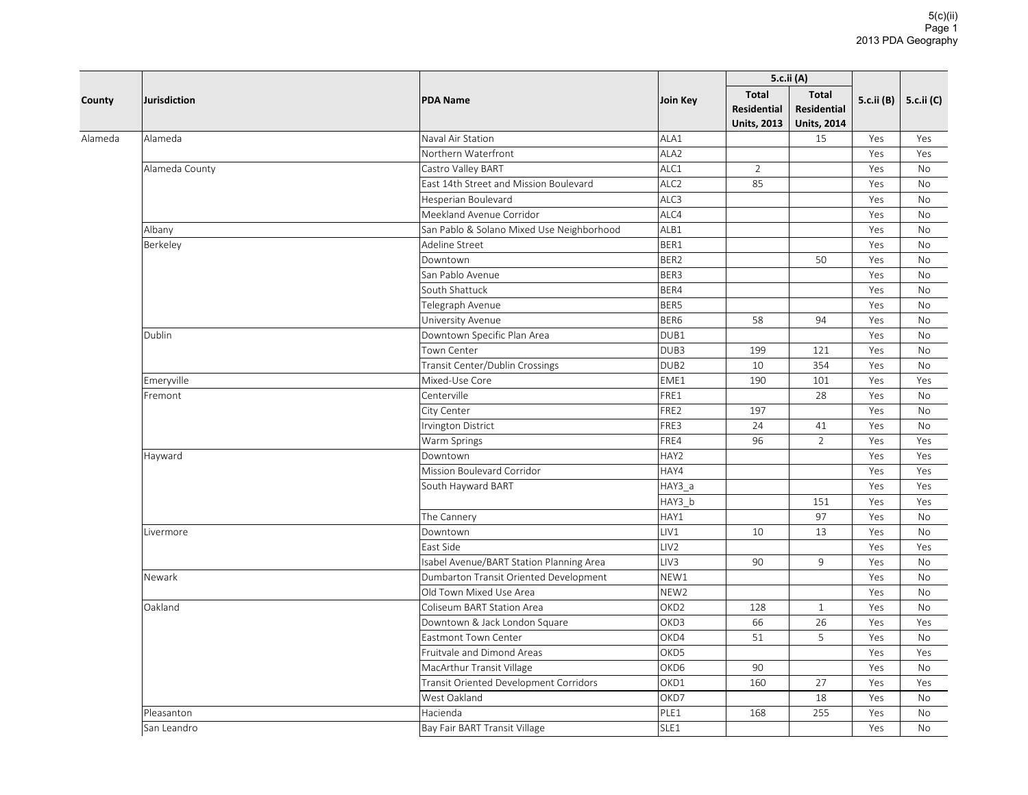|         | Jurisdiction   |                                           |                  | 5.c.ii (A)                                               |                                                          |            |            |
|---------|----------------|-------------------------------------------|------------------|----------------------------------------------------------|----------------------------------------------------------|------------|------------|
| County  |                | <b>PDA Name</b>                           | Join Key         | <b>Total</b><br><b>Residential</b><br><b>Units, 2013</b> | <b>Total</b><br><b>Residential</b><br><b>Units, 2014</b> | 5.c.ii (B) | 5.c.ii (C) |
| Alameda | Alameda        | Naval Air Station                         | ALA1             |                                                          | 15                                                       | Yes        | Yes        |
|         |                | Northern Waterfront                       | ALA <sub>2</sub> |                                                          |                                                          | Yes        | Yes        |
|         | Alameda County | Castro Valley BART                        | ALC1             | $\overline{2}$                                           |                                                          | Yes        | <b>No</b>  |
|         |                | East 14th Street and Mission Boulevard    | ALC <sub>2</sub> | 85                                                       |                                                          | Yes        | No         |
|         |                | Hesperian Boulevard                       | ALC3             |                                                          |                                                          | Yes        | No         |
|         |                | Meekland Avenue Corridor                  | ALC4             |                                                          |                                                          | Yes        | No         |
|         | Albany         | San Pablo & Solano Mixed Use Neighborhood | ALB1             |                                                          |                                                          | Yes        | <b>No</b>  |
|         | Berkeley       | Adeline Street                            | BER1             |                                                          |                                                          | Yes        | No         |
|         |                | Downtown                                  | BER2             |                                                          | 50                                                       | Yes        | No         |
|         |                | San Pablo Avenue                          | BER3             |                                                          |                                                          | Yes        | <b>No</b>  |
|         |                | South Shattuck                            | BER4             |                                                          |                                                          | Yes        | No         |
|         |                | Telegraph Avenue                          | BER5             |                                                          |                                                          | Yes        | No         |
|         |                | University Avenue                         | BER6             | 58                                                       | 94                                                       | Yes        | No         |
|         | Dublin         | Downtown Specific Plan Area               | DUB1             |                                                          |                                                          | Yes        | No         |
|         |                | Town Center                               | DUB3             | 199                                                      | 121                                                      | Yes        | No         |
|         |                | Transit Center/Dublin Crossings           | DUB <sub>2</sub> | 10                                                       | 354                                                      | Yes        | <b>No</b>  |
|         | Emeryville     | Mixed-Use Core                            | EME1             | 190                                                      | 101                                                      | Yes        | Yes        |
|         | Fremont        | Centerville                               | FRE1             |                                                          | 28                                                       | Yes        | No         |
|         |                | City Center                               | FRE2             | 197                                                      |                                                          | Yes        | <b>No</b>  |
|         |                | <b>Irvington District</b>                 | FRE3             | 24                                                       | 41                                                       | Yes        | <b>No</b>  |
|         |                | Warm Springs                              | FRE4             | 96                                                       | $\overline{2}$                                           | Yes        | Yes        |
|         | Hayward        | Downtown                                  | HAY2             |                                                          |                                                          | Yes        | Yes        |
|         |                | Mission Boulevard Corridor                | HAY4             |                                                          |                                                          | Yes        | Yes        |
|         |                | South Hayward BART                        | HAY3_a           |                                                          |                                                          | Yes        | Yes        |
|         |                |                                           | HAY3_b           |                                                          | 151                                                      | Yes        | Yes        |
|         |                | The Cannery                               | HAY1             |                                                          | 97                                                       | Yes        | No         |
|         | Livermore      | Downtown                                  | LIV1             | 10                                                       | 13                                                       | Yes        | <b>No</b>  |
|         |                | East Side                                 | LIV <sub>2</sub> |                                                          |                                                          | Yes        | Yes        |
|         |                | Isabel Avenue/BART Station Planning Area  | LIV3             | 90                                                       | $\overline{9}$                                           | Yes        | No         |
|         | Newark         | Dumbarton Transit Oriented Development    | NEW1             |                                                          |                                                          | Yes        | No         |
|         |                | Old Town Mixed Use Area                   | NEW <sub>2</sub> |                                                          |                                                          | Yes        | No         |
|         | Oakland        | Coliseum BART Station Area                | OKD <sub>2</sub> | 128                                                      | $\mathbf{1}$                                             | Yes        | No         |
|         |                | Downtown & Jack London Square             | OKD3             | 66                                                       | 26                                                       | Yes        | Yes        |
|         |                | Eastmont Town Center                      | OKD4             | 51                                                       | 5                                                        | Yes        | No         |
|         |                | Fruitvale and Dimond Areas                | OKD5             |                                                          |                                                          | Yes        | Yes        |
|         |                | MacArthur Transit Village                 | OKD6             | 90                                                       |                                                          | Yes        | <b>No</b>  |
|         |                | Transit Oriented Development Corridors    | OKD1             | 160                                                      | 27                                                       | Yes        | Yes        |
|         |                | West Oakland                              | OKD7             |                                                          | 18                                                       | Yes        | No         |
|         | Pleasanton     | Hacienda                                  | PLE1             | 168                                                      | 255                                                      | Yes        | No         |
|         | San Leandro    | Bay Fair BART Transit Village             | SLE1             |                                                          |                                                          | Yes        | <b>No</b>  |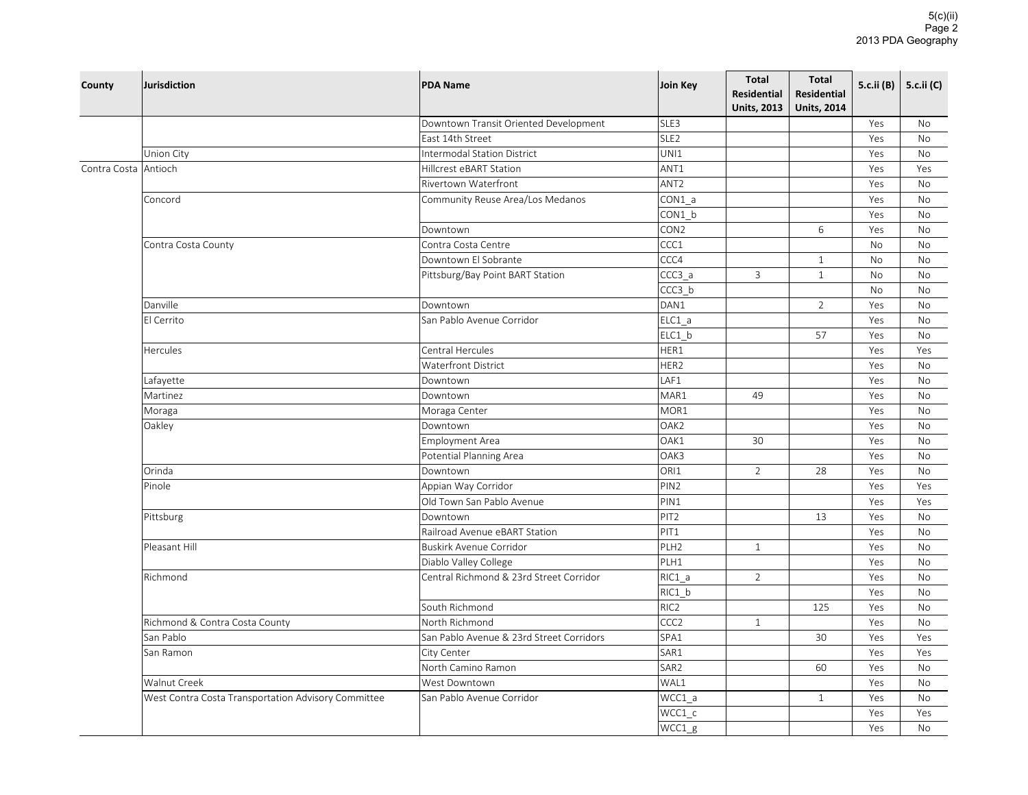| SLE3<br>Downtown Transit Oriented Development<br>Yes<br>No<br>SLE <sub>2</sub><br>East 14th Street<br>Yes<br>No<br><b>Intermodal Station District</b><br>UNI1<br>Union City<br>Yes<br><b>No</b><br>ANT1<br>Contra Costa Antioch<br>Hillcrest eBART Station<br>Yes<br>Yes<br>ANT <sub>2</sub><br>Rivertown Waterfront<br>Yes<br>No<br>Concord<br>CON1_a<br>Community Reuse Area/Los Medanos<br>Yes<br>No<br>CON1_b<br>Yes<br><b>No</b><br>CON <sub>2</sub><br>6<br>Yes<br><b>No</b><br>Downtown<br>CCC1<br>Contra Costa Centre<br>Contra Costa County<br>No<br>No<br>CCC4<br>Downtown El Sobrante<br>$\mathbf{1}$<br>No<br>No<br>$CCC3_a$<br>$\mathbf{3}$<br>$\mathbf{1}$<br>Pittsburg/Bay Point BART Station<br>No<br><b>No</b><br>CCC3 b<br><b>No</b><br><b>No</b><br>DAN1<br>Danville<br>2<br>Downtown<br>Yes<br>No<br>$ELC1_a$<br>El Cerrito<br>San Pablo Avenue Corridor<br>Yes<br>No<br>ELC1 b<br>57<br>Yes<br><b>No</b><br>Central Hercules<br>HER1<br><b>Hercules</b><br>Yes<br>Yes<br>HER2<br>Waterfront District<br>Yes<br>No<br>LAF1<br>Lafayette<br>Downtown<br>Yes<br>No<br>MAR1<br>Martinez<br>Downtown<br>49<br>Yes<br><b>No</b><br>MOR1<br>Moraga Center<br>Yes<br><b>No</b><br>Moraga<br>Oakley<br>OAK <sub>2</sub><br>Yes<br>Downtown<br>No<br>OAK1<br><b>Employment Area</b><br>30<br>Yes<br>No<br>OAK3<br>Potential Planning Area<br>Yes<br><b>No</b><br>ORI1<br>$\overline{2}$<br>Orinda<br>Downtown<br>28<br>Yes<br><b>No</b><br>Pinole<br>PIN <sub>2</sub><br>Appian Way Corridor<br>Yes<br>Yes<br>Old Town San Pablo Avenue<br>PIN1<br>Yes<br>Yes<br>PIT <sub>2</sub><br>Pittsburg<br>13<br>Yes<br>No<br>Downtown<br>Railroad Avenue eBART Station<br>PIT1<br>Yes<br><b>No</b><br>Pleasant Hill<br><b>Buskirk Avenue Corridor</b><br>PLH <sub>2</sub><br>$\mathbf{1}$<br>Yes<br><b>No</b><br>PLH1<br>Diablo Valley College<br>Yes<br>No<br>$\overline{2}$<br>Richmond<br>Central Richmond & 23rd Street Corridor<br>RIC1_a<br>Yes<br>No<br>$RIC1_b$<br>Yes<br><b>No</b><br>South Richmond<br>RIC <sub>2</sub><br>125<br>Yes<br><b>No</b><br>Richmond & Contra Costa County<br>North Richmond<br>CCC <sub>2</sub><br>$\mathbf{1}$<br>Yes<br><b>No</b><br>San Pablo Avenue & 23rd Street Corridors<br>SPA1<br>San Pablo<br>30<br>Yes<br>Yes<br>SAR1<br>San Ramon<br>City Center<br>Yes<br>Yes<br>North Camino Ramon<br>SAR <sub>2</sub><br>60<br>Yes<br><b>No</b><br>Walnut Creek<br>WAL1<br>West Downtown<br>Yes<br>No<br>West Contra Costa Transportation Advisory Committee<br>WCC1_a<br>San Pablo Avenue Corridor<br>Yes<br><b>No</b><br>$\mathbf{1}$<br>WCC1_c<br>Yes<br>Yes<br>WCC1_g<br>Yes<br><b>No</b> | County | <b>Jurisdiction</b> | <b>PDA Name</b> | Join Key | <b>Total</b><br><b>Residential</b><br><b>Units, 2013</b> | <b>Total</b><br><b>Residential</b><br><b>Units, 2014</b> | 5.c.ii (B) | 5.c.ii (C) |
|--------------------------------------------------------------------------------------------------------------------------------------------------------------------------------------------------------------------------------------------------------------------------------------------------------------------------------------------------------------------------------------------------------------------------------------------------------------------------------------------------------------------------------------------------------------------------------------------------------------------------------------------------------------------------------------------------------------------------------------------------------------------------------------------------------------------------------------------------------------------------------------------------------------------------------------------------------------------------------------------------------------------------------------------------------------------------------------------------------------------------------------------------------------------------------------------------------------------------------------------------------------------------------------------------------------------------------------------------------------------------------------------------------------------------------------------------------------------------------------------------------------------------------------------------------------------------------------------------------------------------------------------------------------------------------------------------------------------------------------------------------------------------------------------------------------------------------------------------------------------------------------------------------------------------------------------------------------------------------------------------------------------------------------------------------------------------------------------------------------------------------------------------------------------------------------------------------------------------------------------------------------------------------------------------------------------------------------------------------------------------------------------------------------------------------------------------------------------------------------------------------------------------------------------------------------------------------------------------------------------------------------|--------|---------------------|-----------------|----------|----------------------------------------------------------|----------------------------------------------------------|------------|------------|
|                                                                                                                                                                                                                                                                                                                                                                                                                                                                                                                                                                                                                                                                                                                                                                                                                                                                                                                                                                                                                                                                                                                                                                                                                                                                                                                                                                                                                                                                                                                                                                                                                                                                                                                                                                                                                                                                                                                                                                                                                                                                                                                                                                                                                                                                                                                                                                                                                                                                                                                                                                                                                                      |        |                     |                 |          |                                                          |                                                          |            |            |
|                                                                                                                                                                                                                                                                                                                                                                                                                                                                                                                                                                                                                                                                                                                                                                                                                                                                                                                                                                                                                                                                                                                                                                                                                                                                                                                                                                                                                                                                                                                                                                                                                                                                                                                                                                                                                                                                                                                                                                                                                                                                                                                                                                                                                                                                                                                                                                                                                                                                                                                                                                                                                                      |        |                     |                 |          |                                                          |                                                          |            |            |
|                                                                                                                                                                                                                                                                                                                                                                                                                                                                                                                                                                                                                                                                                                                                                                                                                                                                                                                                                                                                                                                                                                                                                                                                                                                                                                                                                                                                                                                                                                                                                                                                                                                                                                                                                                                                                                                                                                                                                                                                                                                                                                                                                                                                                                                                                                                                                                                                                                                                                                                                                                                                                                      |        |                     |                 |          |                                                          |                                                          |            |            |
|                                                                                                                                                                                                                                                                                                                                                                                                                                                                                                                                                                                                                                                                                                                                                                                                                                                                                                                                                                                                                                                                                                                                                                                                                                                                                                                                                                                                                                                                                                                                                                                                                                                                                                                                                                                                                                                                                                                                                                                                                                                                                                                                                                                                                                                                                                                                                                                                                                                                                                                                                                                                                                      |        |                     |                 |          |                                                          |                                                          |            |            |
|                                                                                                                                                                                                                                                                                                                                                                                                                                                                                                                                                                                                                                                                                                                                                                                                                                                                                                                                                                                                                                                                                                                                                                                                                                                                                                                                                                                                                                                                                                                                                                                                                                                                                                                                                                                                                                                                                                                                                                                                                                                                                                                                                                                                                                                                                                                                                                                                                                                                                                                                                                                                                                      |        |                     |                 |          |                                                          |                                                          |            |            |
|                                                                                                                                                                                                                                                                                                                                                                                                                                                                                                                                                                                                                                                                                                                                                                                                                                                                                                                                                                                                                                                                                                                                                                                                                                                                                                                                                                                                                                                                                                                                                                                                                                                                                                                                                                                                                                                                                                                                                                                                                                                                                                                                                                                                                                                                                                                                                                                                                                                                                                                                                                                                                                      |        |                     |                 |          |                                                          |                                                          |            |            |
|                                                                                                                                                                                                                                                                                                                                                                                                                                                                                                                                                                                                                                                                                                                                                                                                                                                                                                                                                                                                                                                                                                                                                                                                                                                                                                                                                                                                                                                                                                                                                                                                                                                                                                                                                                                                                                                                                                                                                                                                                                                                                                                                                                                                                                                                                                                                                                                                                                                                                                                                                                                                                                      |        |                     |                 |          |                                                          |                                                          |            |            |
|                                                                                                                                                                                                                                                                                                                                                                                                                                                                                                                                                                                                                                                                                                                                                                                                                                                                                                                                                                                                                                                                                                                                                                                                                                                                                                                                                                                                                                                                                                                                                                                                                                                                                                                                                                                                                                                                                                                                                                                                                                                                                                                                                                                                                                                                                                                                                                                                                                                                                                                                                                                                                                      |        |                     |                 |          |                                                          |                                                          |            |            |
|                                                                                                                                                                                                                                                                                                                                                                                                                                                                                                                                                                                                                                                                                                                                                                                                                                                                                                                                                                                                                                                                                                                                                                                                                                                                                                                                                                                                                                                                                                                                                                                                                                                                                                                                                                                                                                                                                                                                                                                                                                                                                                                                                                                                                                                                                                                                                                                                                                                                                                                                                                                                                                      |        |                     |                 |          |                                                          |                                                          |            |            |
|                                                                                                                                                                                                                                                                                                                                                                                                                                                                                                                                                                                                                                                                                                                                                                                                                                                                                                                                                                                                                                                                                                                                                                                                                                                                                                                                                                                                                                                                                                                                                                                                                                                                                                                                                                                                                                                                                                                                                                                                                                                                                                                                                                                                                                                                                                                                                                                                                                                                                                                                                                                                                                      |        |                     |                 |          |                                                          |                                                          |            |            |
|                                                                                                                                                                                                                                                                                                                                                                                                                                                                                                                                                                                                                                                                                                                                                                                                                                                                                                                                                                                                                                                                                                                                                                                                                                                                                                                                                                                                                                                                                                                                                                                                                                                                                                                                                                                                                                                                                                                                                                                                                                                                                                                                                                                                                                                                                                                                                                                                                                                                                                                                                                                                                                      |        |                     |                 |          |                                                          |                                                          |            |            |
|                                                                                                                                                                                                                                                                                                                                                                                                                                                                                                                                                                                                                                                                                                                                                                                                                                                                                                                                                                                                                                                                                                                                                                                                                                                                                                                                                                                                                                                                                                                                                                                                                                                                                                                                                                                                                                                                                                                                                                                                                                                                                                                                                                                                                                                                                                                                                                                                                                                                                                                                                                                                                                      |        |                     |                 |          |                                                          |                                                          |            |            |
|                                                                                                                                                                                                                                                                                                                                                                                                                                                                                                                                                                                                                                                                                                                                                                                                                                                                                                                                                                                                                                                                                                                                                                                                                                                                                                                                                                                                                                                                                                                                                                                                                                                                                                                                                                                                                                                                                                                                                                                                                                                                                                                                                                                                                                                                                                                                                                                                                                                                                                                                                                                                                                      |        |                     |                 |          |                                                          |                                                          |            |            |
|                                                                                                                                                                                                                                                                                                                                                                                                                                                                                                                                                                                                                                                                                                                                                                                                                                                                                                                                                                                                                                                                                                                                                                                                                                                                                                                                                                                                                                                                                                                                                                                                                                                                                                                                                                                                                                                                                                                                                                                                                                                                                                                                                                                                                                                                                                                                                                                                                                                                                                                                                                                                                                      |        |                     |                 |          |                                                          |                                                          |            |            |
|                                                                                                                                                                                                                                                                                                                                                                                                                                                                                                                                                                                                                                                                                                                                                                                                                                                                                                                                                                                                                                                                                                                                                                                                                                                                                                                                                                                                                                                                                                                                                                                                                                                                                                                                                                                                                                                                                                                                                                                                                                                                                                                                                                                                                                                                                                                                                                                                                                                                                                                                                                                                                                      |        |                     |                 |          |                                                          |                                                          |            |            |
|                                                                                                                                                                                                                                                                                                                                                                                                                                                                                                                                                                                                                                                                                                                                                                                                                                                                                                                                                                                                                                                                                                                                                                                                                                                                                                                                                                                                                                                                                                                                                                                                                                                                                                                                                                                                                                                                                                                                                                                                                                                                                                                                                                                                                                                                                                                                                                                                                                                                                                                                                                                                                                      |        |                     |                 |          |                                                          |                                                          |            |            |
|                                                                                                                                                                                                                                                                                                                                                                                                                                                                                                                                                                                                                                                                                                                                                                                                                                                                                                                                                                                                                                                                                                                                                                                                                                                                                                                                                                                                                                                                                                                                                                                                                                                                                                                                                                                                                                                                                                                                                                                                                                                                                                                                                                                                                                                                                                                                                                                                                                                                                                                                                                                                                                      |        |                     |                 |          |                                                          |                                                          |            |            |
|                                                                                                                                                                                                                                                                                                                                                                                                                                                                                                                                                                                                                                                                                                                                                                                                                                                                                                                                                                                                                                                                                                                                                                                                                                                                                                                                                                                                                                                                                                                                                                                                                                                                                                                                                                                                                                                                                                                                                                                                                                                                                                                                                                                                                                                                                                                                                                                                                                                                                                                                                                                                                                      |        |                     |                 |          |                                                          |                                                          |            |            |
|                                                                                                                                                                                                                                                                                                                                                                                                                                                                                                                                                                                                                                                                                                                                                                                                                                                                                                                                                                                                                                                                                                                                                                                                                                                                                                                                                                                                                                                                                                                                                                                                                                                                                                                                                                                                                                                                                                                                                                                                                                                                                                                                                                                                                                                                                                                                                                                                                                                                                                                                                                                                                                      |        |                     |                 |          |                                                          |                                                          |            |            |
|                                                                                                                                                                                                                                                                                                                                                                                                                                                                                                                                                                                                                                                                                                                                                                                                                                                                                                                                                                                                                                                                                                                                                                                                                                                                                                                                                                                                                                                                                                                                                                                                                                                                                                                                                                                                                                                                                                                                                                                                                                                                                                                                                                                                                                                                                                                                                                                                                                                                                                                                                                                                                                      |        |                     |                 |          |                                                          |                                                          |            |            |
|                                                                                                                                                                                                                                                                                                                                                                                                                                                                                                                                                                                                                                                                                                                                                                                                                                                                                                                                                                                                                                                                                                                                                                                                                                                                                                                                                                                                                                                                                                                                                                                                                                                                                                                                                                                                                                                                                                                                                                                                                                                                                                                                                                                                                                                                                                                                                                                                                                                                                                                                                                                                                                      |        |                     |                 |          |                                                          |                                                          |            |            |
|                                                                                                                                                                                                                                                                                                                                                                                                                                                                                                                                                                                                                                                                                                                                                                                                                                                                                                                                                                                                                                                                                                                                                                                                                                                                                                                                                                                                                                                                                                                                                                                                                                                                                                                                                                                                                                                                                                                                                                                                                                                                                                                                                                                                                                                                                                                                                                                                                                                                                                                                                                                                                                      |        |                     |                 |          |                                                          |                                                          |            |            |
|                                                                                                                                                                                                                                                                                                                                                                                                                                                                                                                                                                                                                                                                                                                                                                                                                                                                                                                                                                                                                                                                                                                                                                                                                                                                                                                                                                                                                                                                                                                                                                                                                                                                                                                                                                                                                                                                                                                                                                                                                                                                                                                                                                                                                                                                                                                                                                                                                                                                                                                                                                                                                                      |        |                     |                 |          |                                                          |                                                          |            |            |
|                                                                                                                                                                                                                                                                                                                                                                                                                                                                                                                                                                                                                                                                                                                                                                                                                                                                                                                                                                                                                                                                                                                                                                                                                                                                                                                                                                                                                                                                                                                                                                                                                                                                                                                                                                                                                                                                                                                                                                                                                                                                                                                                                                                                                                                                                                                                                                                                                                                                                                                                                                                                                                      |        |                     |                 |          |                                                          |                                                          |            |            |
|                                                                                                                                                                                                                                                                                                                                                                                                                                                                                                                                                                                                                                                                                                                                                                                                                                                                                                                                                                                                                                                                                                                                                                                                                                                                                                                                                                                                                                                                                                                                                                                                                                                                                                                                                                                                                                                                                                                                                                                                                                                                                                                                                                                                                                                                                                                                                                                                                                                                                                                                                                                                                                      |        |                     |                 |          |                                                          |                                                          |            |            |
|                                                                                                                                                                                                                                                                                                                                                                                                                                                                                                                                                                                                                                                                                                                                                                                                                                                                                                                                                                                                                                                                                                                                                                                                                                                                                                                                                                                                                                                                                                                                                                                                                                                                                                                                                                                                                                                                                                                                                                                                                                                                                                                                                                                                                                                                                                                                                                                                                                                                                                                                                                                                                                      |        |                     |                 |          |                                                          |                                                          |            |            |
|                                                                                                                                                                                                                                                                                                                                                                                                                                                                                                                                                                                                                                                                                                                                                                                                                                                                                                                                                                                                                                                                                                                                                                                                                                                                                                                                                                                                                                                                                                                                                                                                                                                                                                                                                                                                                                                                                                                                                                                                                                                                                                                                                                                                                                                                                                                                                                                                                                                                                                                                                                                                                                      |        |                     |                 |          |                                                          |                                                          |            |            |
|                                                                                                                                                                                                                                                                                                                                                                                                                                                                                                                                                                                                                                                                                                                                                                                                                                                                                                                                                                                                                                                                                                                                                                                                                                                                                                                                                                                                                                                                                                                                                                                                                                                                                                                                                                                                                                                                                                                                                                                                                                                                                                                                                                                                                                                                                                                                                                                                                                                                                                                                                                                                                                      |        |                     |                 |          |                                                          |                                                          |            |            |
|                                                                                                                                                                                                                                                                                                                                                                                                                                                                                                                                                                                                                                                                                                                                                                                                                                                                                                                                                                                                                                                                                                                                                                                                                                                                                                                                                                                                                                                                                                                                                                                                                                                                                                                                                                                                                                                                                                                                                                                                                                                                                                                                                                                                                                                                                                                                                                                                                                                                                                                                                                                                                                      |        |                     |                 |          |                                                          |                                                          |            |            |
|                                                                                                                                                                                                                                                                                                                                                                                                                                                                                                                                                                                                                                                                                                                                                                                                                                                                                                                                                                                                                                                                                                                                                                                                                                                                                                                                                                                                                                                                                                                                                                                                                                                                                                                                                                                                                                                                                                                                                                                                                                                                                                                                                                                                                                                                                                                                                                                                                                                                                                                                                                                                                                      |        |                     |                 |          |                                                          |                                                          |            |            |
|                                                                                                                                                                                                                                                                                                                                                                                                                                                                                                                                                                                                                                                                                                                                                                                                                                                                                                                                                                                                                                                                                                                                                                                                                                                                                                                                                                                                                                                                                                                                                                                                                                                                                                                                                                                                                                                                                                                                                                                                                                                                                                                                                                                                                                                                                                                                                                                                                                                                                                                                                                                                                                      |        |                     |                 |          |                                                          |                                                          |            |            |
|                                                                                                                                                                                                                                                                                                                                                                                                                                                                                                                                                                                                                                                                                                                                                                                                                                                                                                                                                                                                                                                                                                                                                                                                                                                                                                                                                                                                                                                                                                                                                                                                                                                                                                                                                                                                                                                                                                                                                                                                                                                                                                                                                                                                                                                                                                                                                                                                                                                                                                                                                                                                                                      |        |                     |                 |          |                                                          |                                                          |            |            |
|                                                                                                                                                                                                                                                                                                                                                                                                                                                                                                                                                                                                                                                                                                                                                                                                                                                                                                                                                                                                                                                                                                                                                                                                                                                                                                                                                                                                                                                                                                                                                                                                                                                                                                                                                                                                                                                                                                                                                                                                                                                                                                                                                                                                                                                                                                                                                                                                                                                                                                                                                                                                                                      |        |                     |                 |          |                                                          |                                                          |            |            |
|                                                                                                                                                                                                                                                                                                                                                                                                                                                                                                                                                                                                                                                                                                                                                                                                                                                                                                                                                                                                                                                                                                                                                                                                                                                                                                                                                                                                                                                                                                                                                                                                                                                                                                                                                                                                                                                                                                                                                                                                                                                                                                                                                                                                                                                                                                                                                                                                                                                                                                                                                                                                                                      |        |                     |                 |          |                                                          |                                                          |            |            |
|                                                                                                                                                                                                                                                                                                                                                                                                                                                                                                                                                                                                                                                                                                                                                                                                                                                                                                                                                                                                                                                                                                                                                                                                                                                                                                                                                                                                                                                                                                                                                                                                                                                                                                                                                                                                                                                                                                                                                                                                                                                                                                                                                                                                                                                                                                                                                                                                                                                                                                                                                                                                                                      |        |                     |                 |          |                                                          |                                                          |            |            |
|                                                                                                                                                                                                                                                                                                                                                                                                                                                                                                                                                                                                                                                                                                                                                                                                                                                                                                                                                                                                                                                                                                                                                                                                                                                                                                                                                                                                                                                                                                                                                                                                                                                                                                                                                                                                                                                                                                                                                                                                                                                                                                                                                                                                                                                                                                                                                                                                                                                                                                                                                                                                                                      |        |                     |                 |          |                                                          |                                                          |            |            |
|                                                                                                                                                                                                                                                                                                                                                                                                                                                                                                                                                                                                                                                                                                                                                                                                                                                                                                                                                                                                                                                                                                                                                                                                                                                                                                                                                                                                                                                                                                                                                                                                                                                                                                                                                                                                                                                                                                                                                                                                                                                                                                                                                                                                                                                                                                                                                                                                                                                                                                                                                                                                                                      |        |                     |                 |          |                                                          |                                                          |            |            |
|                                                                                                                                                                                                                                                                                                                                                                                                                                                                                                                                                                                                                                                                                                                                                                                                                                                                                                                                                                                                                                                                                                                                                                                                                                                                                                                                                                                                                                                                                                                                                                                                                                                                                                                                                                                                                                                                                                                                                                                                                                                                                                                                                                                                                                                                                                                                                                                                                                                                                                                                                                                                                                      |        |                     |                 |          |                                                          |                                                          |            |            |
|                                                                                                                                                                                                                                                                                                                                                                                                                                                                                                                                                                                                                                                                                                                                                                                                                                                                                                                                                                                                                                                                                                                                                                                                                                                                                                                                                                                                                                                                                                                                                                                                                                                                                                                                                                                                                                                                                                                                                                                                                                                                                                                                                                                                                                                                                                                                                                                                                                                                                                                                                                                                                                      |        |                     |                 |          |                                                          |                                                          |            |            |
|                                                                                                                                                                                                                                                                                                                                                                                                                                                                                                                                                                                                                                                                                                                                                                                                                                                                                                                                                                                                                                                                                                                                                                                                                                                                                                                                                                                                                                                                                                                                                                                                                                                                                                                                                                                                                                                                                                                                                                                                                                                                                                                                                                                                                                                                                                                                                                                                                                                                                                                                                                                                                                      |        |                     |                 |          |                                                          |                                                          |            |            |
|                                                                                                                                                                                                                                                                                                                                                                                                                                                                                                                                                                                                                                                                                                                                                                                                                                                                                                                                                                                                                                                                                                                                                                                                                                                                                                                                                                                                                                                                                                                                                                                                                                                                                                                                                                                                                                                                                                                                                                                                                                                                                                                                                                                                                                                                                                                                                                                                                                                                                                                                                                                                                                      |        |                     |                 |          |                                                          |                                                          |            |            |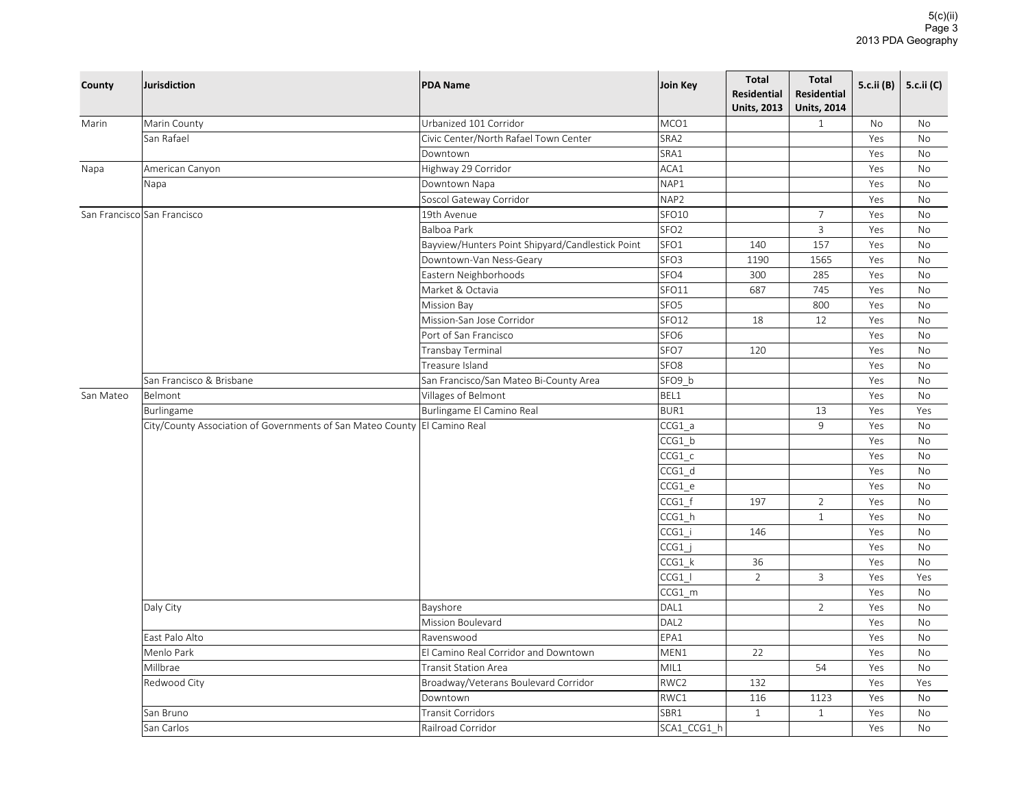| County    | <b>Jurisdiction</b>                                                       | <b>PDA Name</b>                                  | <b>Join Key</b>     | Total<br><b>Residential</b><br><b>Units, 2013</b> | <b>Total</b><br><b>Residential</b><br><b>Units, 2014</b> | 5.c.ii (B) | 5.c.ii (C) |
|-----------|---------------------------------------------------------------------------|--------------------------------------------------|---------------------|---------------------------------------------------|----------------------------------------------------------|------------|------------|
| Marin     | Marin County                                                              | Urbanized 101 Corridor                           | MCO1                |                                                   | $\mathbf{1}$                                             | No         | No         |
|           | San Rafael                                                                | Civic Center/North Rafael Town Center            | SRA2                |                                                   |                                                          | Yes        | No         |
|           |                                                                           | Downtown                                         | SRA1                |                                                   |                                                          | Yes        | No         |
| Napa      | American Canyon                                                           | Highway 29 Corridor                              | ACA1                |                                                   |                                                          | Yes        | No         |
|           | Napa                                                                      | Downtown Napa                                    | NAP1                |                                                   |                                                          | Yes        | No         |
|           |                                                                           | Soscol Gateway Corridor                          | NAP2                |                                                   |                                                          | Yes        | No         |
|           | San Francisco San Francisco                                               | 19th Avenue                                      | SFO10               |                                                   | 7                                                        | Yes        | No         |
|           |                                                                           | Balboa Park                                      | SFO <sub>2</sub>    |                                                   | $\mathsf{3}$                                             | Yes        | No         |
|           |                                                                           | Bayview/Hunters Point Shipyard/Candlestick Point | SFO1                | 140                                               | 157                                                      | Yes        | No         |
|           |                                                                           | Downtown-Van Ness-Geary                          | SFO <sub>3</sub>    | 1190                                              | 1565                                                     | Yes        | No         |
|           |                                                                           | Eastern Neighborhoods                            | SFO4                | 300                                               | 285                                                      | Yes        | No         |
|           |                                                                           | Market & Octavia                                 | SFO11               | 687                                               | 745                                                      | Yes        | No         |
|           |                                                                           | Mission Bay                                      | SFO <sub>5</sub>    |                                                   | 800                                                      | Yes        | No         |
|           |                                                                           | Mission-San Jose Corridor                        | SFO12               | 18                                                | 12                                                       | Yes        | <b>No</b>  |
|           |                                                                           | Port of San Francisco                            | SFO <sub>6</sub>    |                                                   |                                                          | Yes        | <b>No</b>  |
|           |                                                                           | Transbay Terminal                                | SFO7                | 120                                               |                                                          | Yes        | <b>No</b>  |
|           |                                                                           | Treasure Island                                  | SFO <sub>8</sub>    |                                                   |                                                          | Yes        | <b>No</b>  |
|           | San Francisco & Brisbane                                                  | San Francisco/San Mateo Bi-County Area           | SFO9_b              |                                                   |                                                          | Yes        | <b>No</b>  |
| San Mateo | Belmont                                                                   | Villages of Belmont                              | BEL1                |                                                   |                                                          | Yes        | No         |
|           | Burlingame                                                                | Burlingame El Camino Real                        | BUR1                |                                                   | 13                                                       | Yes        | Yes        |
|           | City/County Association of Governments of San Mateo County El Camino Real |                                                  | $CCG1_a$            |                                                   | 9                                                        | Yes        | <b>No</b>  |
|           |                                                                           |                                                  | $CCG1_b$            |                                                   |                                                          | Yes        | <b>No</b>  |
|           |                                                                           |                                                  | $CCG1_c$            |                                                   |                                                          | Yes        | <b>No</b>  |
|           |                                                                           |                                                  | CCG1 d              |                                                   |                                                          | Yes        | No         |
|           |                                                                           |                                                  | CCG1e               |                                                   |                                                          | Yes        | No         |
|           |                                                                           |                                                  | $CCG1_f$            | 197                                               | $\overline{2}$                                           | Yes        | No         |
|           |                                                                           |                                                  | $CCG1$ _h           |                                                   | $\mathbf{1}$                                             | Yes        | <b>No</b>  |
|           |                                                                           |                                                  | CCG1 i              | 146                                               |                                                          | Yes        | No         |
|           |                                                                           |                                                  | CCG1                |                                                   |                                                          | Yes        | No         |
|           |                                                                           |                                                  | $CCG1_k$            | 36                                                |                                                          | Yes        | <b>No</b>  |
|           |                                                                           |                                                  | CCG1                | $\overline{2}$                                    | 3                                                        | Yes        | Yes        |
|           |                                                                           |                                                  | $CCG1$ <sub>m</sub> |                                                   |                                                          | Yes        | No         |
|           | Daly City                                                                 | Bayshore                                         | DAL1                |                                                   | $\overline{2}$                                           | Yes        | No         |
|           |                                                                           | Mission Boulevard                                | DAL <sub>2</sub>    |                                                   |                                                          | Yes        | No         |
|           | East Palo Alto                                                            | Ravenswood                                       | EPA1                |                                                   |                                                          | Yes        | <b>No</b>  |
|           | Menlo Park                                                                | El Camino Real Corridor and Downtown             | MEN1                | 22                                                |                                                          | Yes        | No         |
|           | Millbrae                                                                  | Transit Station Area                             | MIL1                |                                                   | 54                                                       | Yes        | No         |
|           | Redwood City                                                              | Broadway/Veterans Boulevard Corridor             | RWC2                | 132                                               |                                                          | Yes        | Yes        |
|           |                                                                           | Downtown                                         | RWC1                | 116                                               | 1123                                                     | Yes        | No         |
|           | San Bruno                                                                 | Transit Corridors                                | SBR1                | $\mathbf{1}$                                      | $\mathbf{1}$                                             | Yes        | No         |
|           | San Carlos                                                                | Railroad Corridor                                | SCA1 CCG1 h         |                                                   |                                                          | Yes        | <b>No</b>  |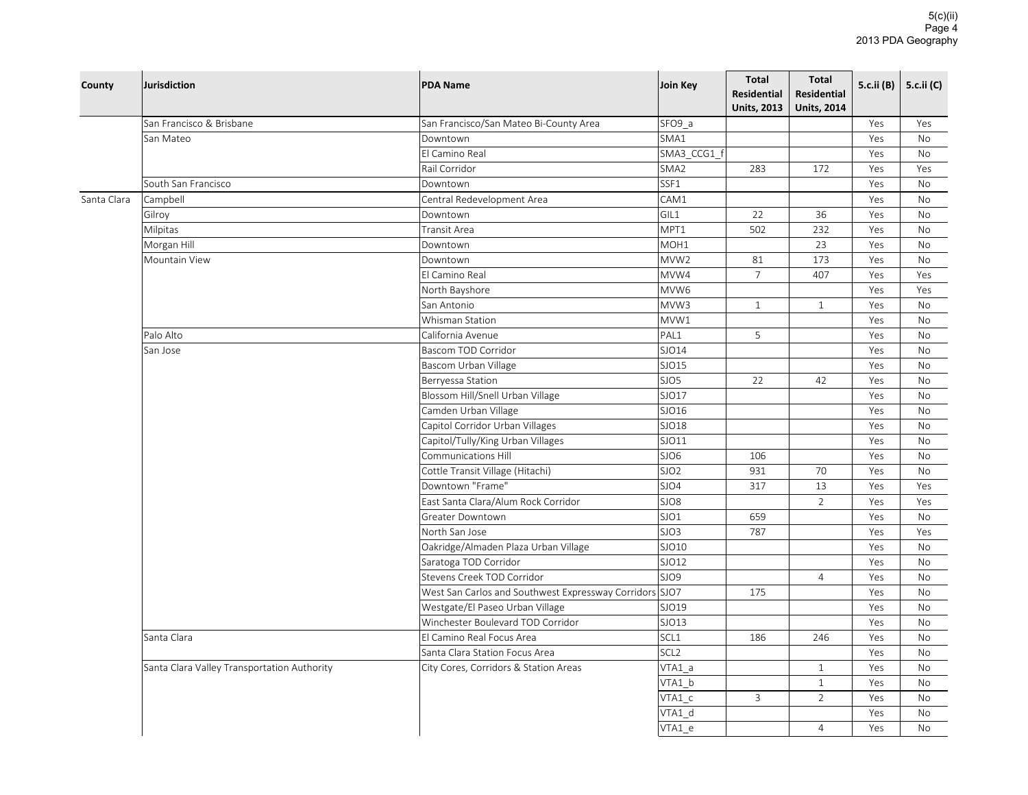| County      | Jurisdiction                                | <b>PDA Name</b>                                         | Join Key         | <b>Total</b><br><b>Residential</b><br><b>Units, 2013</b> | <b>Total</b><br><b>Residential</b><br><b>Units, 2014</b> | 5.c.ii (B) | 5.c.ii (C) |
|-------------|---------------------------------------------|---------------------------------------------------------|------------------|----------------------------------------------------------|----------------------------------------------------------|------------|------------|
|             | San Francisco & Brisbane                    | San Francisco/San Mateo Bi-County Area                  | SFO9 a           |                                                          |                                                          | Yes        | Yes        |
|             | San Mateo                                   | Downtown                                                | SMA1             |                                                          |                                                          | Yes        | No         |
|             |                                             | El Camino Real                                          | SMA3 CCG1 f      |                                                          |                                                          | Yes        | <b>No</b>  |
|             |                                             | Rail Corridor                                           | SMA <sub>2</sub> | 283                                                      | 172                                                      | Yes        | Yes        |
|             | South San Francisco                         | Downtown                                                | SSF1             |                                                          |                                                          | Yes        | No         |
| Santa Clara | Campbell                                    | Central Redevelopment Area                              | CAM1             |                                                          |                                                          | Yes        | <b>No</b>  |
|             | Gilroy                                      | Downtown                                                | GIL1             | 22                                                       | 36                                                       | Yes        | No         |
|             | Milpitas                                    | Transit Area                                            | MPT1             | 502                                                      | 232                                                      | Yes        | <b>No</b>  |
|             | Morgan Hill                                 | Downtown                                                | MOH1             |                                                          | 23                                                       | Yes        | No         |
|             | Mountain View                               | Downtown                                                | MVW <sub>2</sub> | 81                                                       | 173                                                      | Yes        | No         |
|             |                                             | El Camino Real                                          | MVW4             | $\overline{7}$                                           | 407                                                      | Yes        | Yes        |
|             |                                             | North Bayshore                                          | MVW6             |                                                          |                                                          | Yes        | Yes        |
|             |                                             | San Antonio                                             | MVW3             | $\mathbf{1}$                                             | $\mathbf{1}$                                             | Yes        | No         |
|             |                                             | Whisman Station                                         | MVW1             |                                                          |                                                          | Yes        | <b>No</b>  |
|             | Palo Alto                                   | California Avenue                                       | PAL1             | 5                                                        |                                                          | Yes        | <b>No</b>  |
|             | San Jose                                    | Bascom TOD Corridor                                     | SJO14            |                                                          |                                                          | Yes        | <b>No</b>  |
|             |                                             | Bascom Urban Village                                    | SJO15            |                                                          |                                                          | Yes        | No         |
|             |                                             | Berryessa Station                                       | SJO5             | 22                                                       | 42                                                       | Yes        | <b>No</b>  |
|             |                                             | Blossom Hill/Snell Urban Village                        | SJO17            |                                                          |                                                          | Yes        | No         |
|             |                                             | Camden Urban Village                                    | SJO16            |                                                          |                                                          | Yes        | No         |
|             |                                             | Capitol Corridor Urban Villages                         | SJO18            |                                                          |                                                          | Yes        | No         |
|             |                                             | Capitol/Tully/King Urban Villages                       | SJO11            |                                                          |                                                          | Yes        | No         |
|             |                                             | Communications Hill                                     | SJO6             | 106                                                      |                                                          | Yes        | No         |
|             |                                             | Cottle Transit Village (Hitachi)                        | SJO <sub>2</sub> | 931                                                      | 70                                                       | Yes        | No         |
|             |                                             | Downtown "Frame"                                        | SJO4             | 317                                                      | 13                                                       | Yes        | Yes        |
|             |                                             | East Santa Clara/Alum Rock Corridor                     | SJO8             |                                                          | $\overline{2}$                                           | Yes        | Yes        |
|             |                                             | Greater Downtown                                        | SJO1             | 659                                                      |                                                          | Yes        | No         |
|             |                                             | North San Jose                                          | SJO3             | 787                                                      |                                                          | Yes        | Yes        |
|             |                                             | Oakridge/Almaden Plaza Urban Village                    | SJO10            |                                                          |                                                          | Yes        | No         |
|             |                                             | Saratoga TOD Corridor                                   | SJO12            |                                                          |                                                          | Yes        | No         |
|             |                                             | Stevens Creek TOD Corridor                              | SJO9             |                                                          | $\overline{4}$                                           | Yes        | No         |
|             |                                             | West San Carlos and Southwest Expressway Corridors SJO7 |                  | 175                                                      |                                                          | Yes        | No         |
|             |                                             | Westgate/El Paseo Urban Village                         | SJO19            |                                                          |                                                          | Yes        | No         |
|             |                                             | Winchester Boulevard TOD Corridor                       | SJO13            |                                                          |                                                          | Yes        | No         |
|             | Santa Clara                                 | El Camino Real Focus Area                               | SCL1             | 186                                                      | 246                                                      | Yes        | No         |
|             |                                             | Santa Clara Station Focus Area                          | SCL <sub>2</sub> |                                                          |                                                          | Yes        | No         |
|             | Santa Clara Valley Transportation Authority | City Cores, Corridors & Station Areas                   | VTA1 a           |                                                          | $\mathbf{1}$                                             | Yes        | No         |
|             |                                             |                                                         | VTA1 b           |                                                          | $\mathbf{1}$                                             | Yes        | No         |
|             |                                             |                                                         | VTA1 c           | 3                                                        | $\overline{2}$                                           | Yes        | No         |
|             |                                             |                                                         | VTA1 d           |                                                          |                                                          | Yes        | No         |
|             |                                             |                                                         | VTA1 e           |                                                          | $\overline{4}$                                           | Yes        | <b>No</b>  |
|             |                                             |                                                         |                  |                                                          |                                                          |            |            |